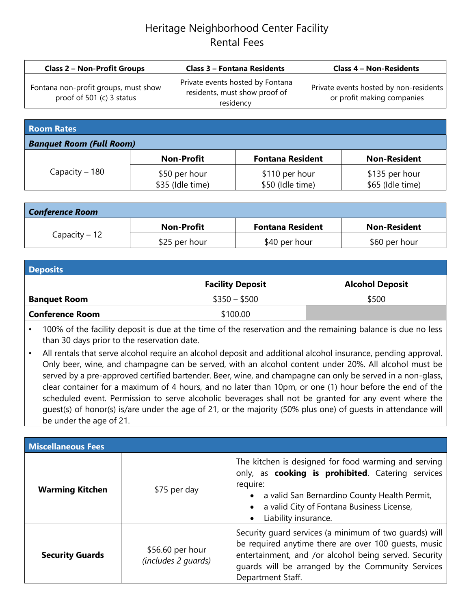## Heritage Neighborhood Center Facility Rental Fees

| <b>Class 2 - Non-Profit Groups</b>                                  | <b>Class 3 - Fontana Residents</b>                                             | <b>Class 4 - Non-Residents</b>                                       |
|---------------------------------------------------------------------|--------------------------------------------------------------------------------|----------------------------------------------------------------------|
| Fontana non-profit groups, must show  <br>proof of 501 (c) 3 status | Private events hosted by Fontana<br>residents, must show proof of<br>residency | Private events hosted by non-residents<br>or profit making companies |

| <b>Room Rates</b>               |                                   |                                    |                                    |
|---------------------------------|-----------------------------------|------------------------------------|------------------------------------|
| <b>Banquet Room (Full Room)</b> |                                   |                                    |                                    |
|                                 | <b>Non-Profit</b>                 | <b>Fontana Resident</b>            | <b>Non-Resident</b>                |
| Capacity $-180$                 | \$50 per hour<br>\$35 (Idle time) | \$110 per hour<br>\$50 (Idle time) | \$135 per hour<br>\$65 (Idle time) |

| <b>Conference Room</b> |                   |                         |                     |
|------------------------|-------------------|-------------------------|---------------------|
| $Capacity - 12$        | <b>Non-Profit</b> | <b>Fontana Resident</b> | <b>Non-Resident</b> |
|                        | \$25 per hour     | \$40 per hour           | \$60 per hour       |

| <b>Deposits</b>        |                         |                        |  |
|------------------------|-------------------------|------------------------|--|
|                        | <b>Facility Deposit</b> | <b>Alcohol Deposit</b> |  |
| <b>Banquet Room</b>    | $$350 - $500$           | \$500                  |  |
| <b>Conference Room</b> | \$100.00                |                        |  |

100% of the facility deposit is due at the time of the reservation and the remaining balance is due no less than 30 days prior to the reservation date.

• All rentals that serve alcohol require an alcohol deposit and additional alcohol insurance, pending approval. Only beer, wine, and champagne can be served, with an alcohol content under 20%. All alcohol must be served by a pre-approved certified bartender. Beer, wine, and champagne can only be served in a non-glass, clear container for a maximum of 4 hours, and no later than 10pm, or one (1) hour before the end of the scheduled event. Permission to serve alcoholic beverages shall not be granted for any event where the guest(s) of honor(s) is/are under the age of 21, or the majority (50% plus one) of guests in attendance will be under the age of 21.

| <b>Miscellaneous Fees</b> |                                         |                                                                                                                                                                                                                                                   |  |
|---------------------------|-----------------------------------------|---------------------------------------------------------------------------------------------------------------------------------------------------------------------------------------------------------------------------------------------------|--|
| <b>Warming Kitchen</b>    | \$75 per day                            | The kitchen is designed for food warming and serving<br>only, as cooking is prohibited. Catering services<br>require:<br>a valid San Bernardino County Health Permit,<br>a valid City of Fontana Business License,<br>Liability insurance.<br>٠   |  |
| <b>Security Guards</b>    | \$56.60 per hour<br>(includes 2 quards) | Security guard services (a minimum of two guards) will<br>be required anytime there are over 100 guests, music<br>entertainment, and /or alcohol being served. Security<br>guards will be arranged by the Community Services<br>Department Staff. |  |